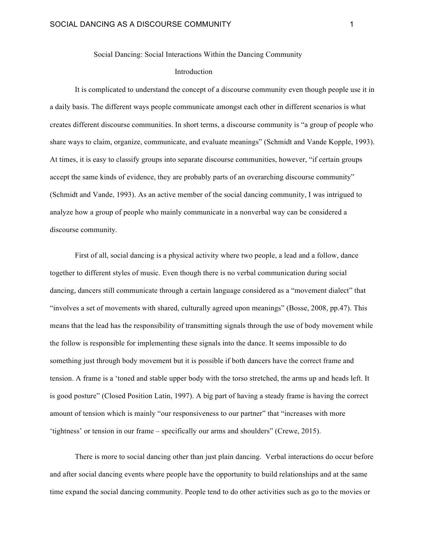Social Dancing: Social Interactions Within the Dancing Community

## Introduction

It is complicated to understand the concept of a discourse community even though people use it in a daily basis. The different ways people communicate amongst each other in different scenarios is what creates different discourse communities. In short terms, a discourse community is "a group of people who share ways to claim, organize, communicate, and evaluate meanings" (Schmidt and Vande Kopple, 1993). At times, it is easy to classify groups into separate discourse communities, however, "if certain groups accept the same kinds of evidence, they are probably parts of an overarching discourse community" (Schmidt and Vande, 1993). As an active member of the social dancing community, I was intrigued to analyze how a group of people who mainly communicate in a nonverbal way can be considered a discourse community.

First of all, social dancing is a physical activity where two people, a lead and a follow, dance together to different styles of music. Even though there is no verbal communication during social dancing, dancers still communicate through a certain language considered as a "movement dialect" that "involves a set of movements with shared, culturally agreed upon meanings" (Bosse, 2008, pp.47). This means that the lead has the responsibility of transmitting signals through the use of body movement while the follow is responsible for implementing these signals into the dance. It seems impossible to do something just through body movement but it is possible if both dancers have the correct frame and tension. A frame is a 'toned and stable upper body with the torso stretched, the arms up and heads left. It is good posture" (Closed Position Latin, 1997). A big part of having a steady frame is having the correct amount of tension which is mainly "our responsiveness to our partner" that "increases with more 'tightness' or tension in our frame – specifically our arms and shoulders" (Crewe, 2015).

There is more to social dancing other than just plain dancing. Verbal interactions do occur before and after social dancing events where people have the opportunity to build relationships and at the same time expand the social dancing community. People tend to do other activities such as go to the movies or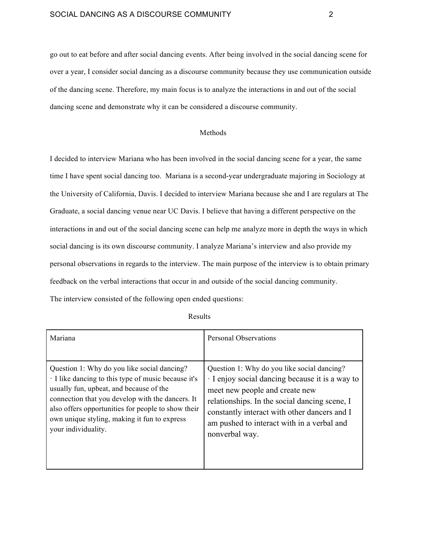go out to eat before and after social dancing events. After being involved in the social dancing scene for over a year, I consider social dancing as a discourse community because they use communication outside of the dancing scene. Therefore, my main focus is to analyze the interactions in and out of the social dancing scene and demonstrate why it can be considered a discourse community.

## Methods

I decided to interview Mariana who has been involved in the social dancing scene for a year, the same time I have spent social dancing too. Mariana is a second-year undergraduate majoring in Sociology at the University of California, Davis. I decided to interview Mariana because she and I are regulars at The Graduate, a social dancing venue near UC Davis. I believe that having a different perspective on the interactions in and out of the social dancing scene can help me analyze more in depth the ways in which social dancing is its own discourse community. I analyze Mariana's interview and also provide my personal observations in regards to the interview. The main purpose of the interview is to obtain primary feedback on the verbal interactions that occur in and outside of the social dancing community. The interview consisted of the following open ended questions:

| Mariana                                            | <b>Personal Observations</b>                  |
|----------------------------------------------------|-----------------------------------------------|
| Question 1: Why do you like social dancing?        | Question 1: Why do you like social dancing?   |
| I like dancing to this type of music because it's  | I enjoy social dancing because it is a way to |
| usually fun, upbeat, and because of the            | meet new people and create new                |
| connection that you develop with the dancers. It   | relationships. In the social dancing scene, I |
| also offers opportunities for people to show their | constantly interact with other dancers and I  |
| own unique styling, making it fun to express       | am pushed to interact with in a verbal and    |
| your individuality.                                | nonverbal way.                                |

Results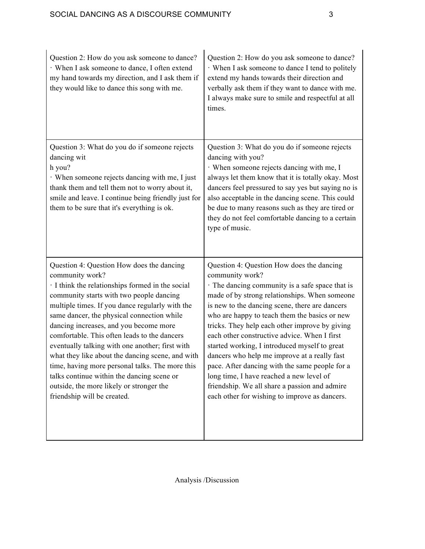| Question 2: How do you ask someone to dance?<br>· When I ask someone to dance, I often extend<br>my hand towards my direction, and I ask them if<br>they would like to dance this song with me.                                                                                                                                                                                                                                                                                                                                                                                                                                          | Question 2: How do you ask someone to dance?<br>When I ask someone to dance I tend to politely<br>extend my hands towards their direction and<br>verbally ask them if they want to dance with me.<br>I always make sure to smile and respectful at all<br>times.                                                                                                                                                                                                                                                                                                                                                                                                     |
|------------------------------------------------------------------------------------------------------------------------------------------------------------------------------------------------------------------------------------------------------------------------------------------------------------------------------------------------------------------------------------------------------------------------------------------------------------------------------------------------------------------------------------------------------------------------------------------------------------------------------------------|----------------------------------------------------------------------------------------------------------------------------------------------------------------------------------------------------------------------------------------------------------------------------------------------------------------------------------------------------------------------------------------------------------------------------------------------------------------------------------------------------------------------------------------------------------------------------------------------------------------------------------------------------------------------|
| Question 3: What do you do if someone rejects<br>dancing wit<br>h you?<br>When someone rejects dancing with me, I just<br>thank them and tell them not to worry about it,<br>smile and leave. I continue being friendly just for<br>them to be sure that it's everything is ok.                                                                                                                                                                                                                                                                                                                                                          | Question 3: What do you do if someone rejects<br>dancing with you?<br>When someone rejects dancing with me, I<br>always let them know that it is totally okay. Most<br>dancers feel pressured to say yes but saying no is<br>also acceptable in the dancing scene. This could<br>be due to many reasons such as they are tired or<br>they do not feel comfortable dancing to a certain<br>type of music.                                                                                                                                                                                                                                                             |
| Question 4: Question How does the dancing<br>community work?<br>I think the relationships formed in the social<br>community starts with two people dancing<br>multiple times. If you dance regularly with the<br>same dancer, the physical connection while<br>dancing increases, and you become more<br>comfortable. This often leads to the dancers<br>eventually talking with one another; first with<br>what they like about the dancing scene, and with<br>time, having more personal talks. The more this<br>talks continue within the dancing scene or<br>outside, the more likely or stronger the<br>friendship will be created. | Question 4: Question How does the dancing<br>community work?<br>The dancing community is a safe space that is<br>made of by strong relationships. When someone<br>is new to the dancing scene, there are dancers<br>who are happy to teach them the basics or new<br>tricks. They help each other improve by giving<br>each other constructive advice. When I first<br>started working, I introduced myself to great<br>dancers who help me improve at a really fast<br>pace. After dancing with the same people for a<br>long time, I have reached a new level of<br>friendship. We all share a passion and admire<br>each other for wishing to improve as dancers. |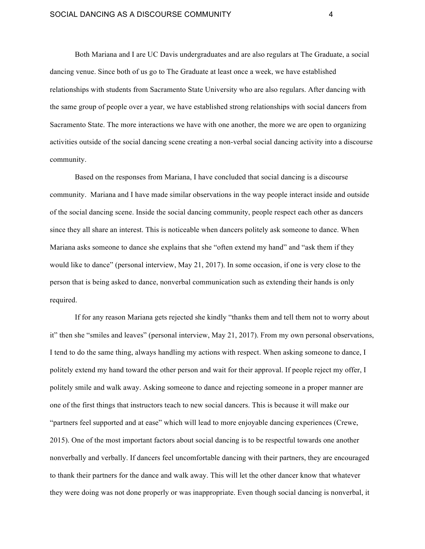Both Mariana and I are UC Davis undergraduates and are also regulars at The Graduate, a social dancing venue. Since both of us go to The Graduate at least once a week, we have established relationships with students from Sacramento State University who are also regulars. After dancing with the same group of people over a year, we have established strong relationships with social dancers from Sacramento State. The more interactions we have with one another, the more we are open to organizing activities outside of the social dancing scene creating a non-verbal social dancing activity into a discourse community.

Based on the responses from Mariana, I have concluded that social dancing is a discourse community. Mariana and I have made similar observations in the way people interact inside and outside of the social dancing scene. Inside the social dancing community, people respect each other as dancers since they all share an interest. This is noticeable when dancers politely ask someone to dance. When Mariana asks someone to dance she explains that she "often extend my hand" and "ask them if they would like to dance" (personal interview, May 21, 2017). In some occasion, if one is very close to the person that is being asked to dance, nonverbal communication such as extending their hands is only required.

If for any reason Mariana gets rejected she kindly "thanks them and tell them not to worry about it" then she "smiles and leaves" (personal interview, May 21, 2017). From my own personal observations, I tend to do the same thing, always handling my actions with respect. When asking someone to dance, I politely extend my hand toward the other person and wait for their approval. If people reject my offer, I politely smile and walk away. Asking someone to dance and rejecting someone in a proper manner are one of the first things that instructors teach to new social dancers. This is because it will make our "partners feel supported and at ease" which will lead to more enjoyable dancing experiences (Crewe, 2015). One of the most important factors about social dancing is to be respectful towards one another nonverbally and verbally. If dancers feel uncomfortable dancing with their partners, they are encouraged to thank their partners for the dance and walk away. This will let the other dancer know that whatever they were doing was not done properly or was inappropriate. Even though social dancing is nonverbal, it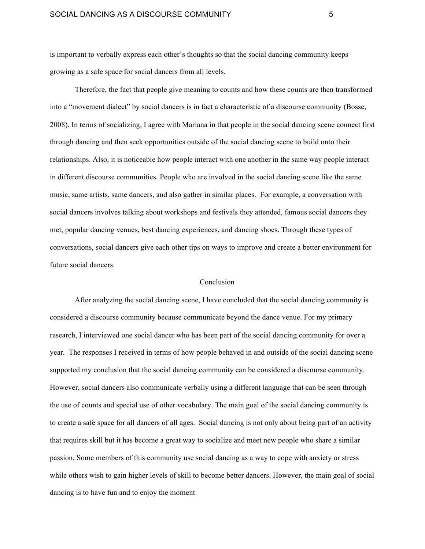is important to verbally express each other's thoughts so that the social dancing community keeps growing as a safe space for social dancers from all levels.

Therefore, the fact that people give meaning to counts and how these counts are then transformed into a "movement dialect" by social dancers is in fact a characteristic of a discourse community (Bosse, 2008). In terms of socializing, I agree with Mariana in that people in the social dancing scene connect first through dancing and then seek opportunities outside of the social dancing scene to build onto their relationships. Also, it is noticeable how people interact with one another in the same way people interact in different discourse communities. People who are involved in the social dancing scene like the same music, same artists, same dancers, and also gather in similar places. For example, a conversation with social dancers involves talking about workshops and festivals they attended, famous social dancers they met, popular dancing venues, best dancing experiences, and dancing shoes. Through these types of conversations, social dancers give each other tips on ways to improve and create a better environment for future social dancers.

## Conclusion

After analyzing the social dancing scene, I have concluded that the social dancing community is considered a discourse community because communicate beyond the dance venue. For my primary research, I interviewed one social dancer who has been part of the social dancing community for over a year. The responses I received in terms of how people behaved in and outside of the social dancing scene supported my conclusion that the social dancing community can be considered a discourse community. However, social dancers also communicate verbally using a different language that can be seen through the use of counts and special use of other vocabulary. The main goal of the social dancing community is to create a safe space for all dancers of all ages. Social dancing is not only about being part of an activity that requires skill but it has become a great way to socialize and meet new people who share a similar passion. Some members of this community use social dancing as a way to cope with anxiety or stress while others wish to gain higher levels of skill to become better dancers. However, the main goal of social dancing is to have fun and to enjoy the moment.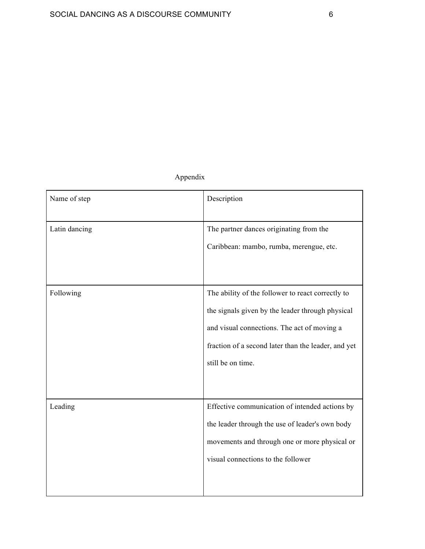## Appendix

| Name of step  | Description                                                                                                                                                                                                                      |
|---------------|----------------------------------------------------------------------------------------------------------------------------------------------------------------------------------------------------------------------------------|
| Latin dancing | The partner dances originating from the<br>Caribbean: mambo, rumba, merengue, etc.                                                                                                                                               |
| Following     | The ability of the follower to react correctly to<br>the signals given by the leader through physical<br>and visual connections. The act of moving a<br>fraction of a second later than the leader, and yet<br>still be on time. |
| Leading       | Effective communication of intended actions by<br>the leader through the use of leader's own body<br>movements and through one or more physical or<br>visual connections to the follower                                         |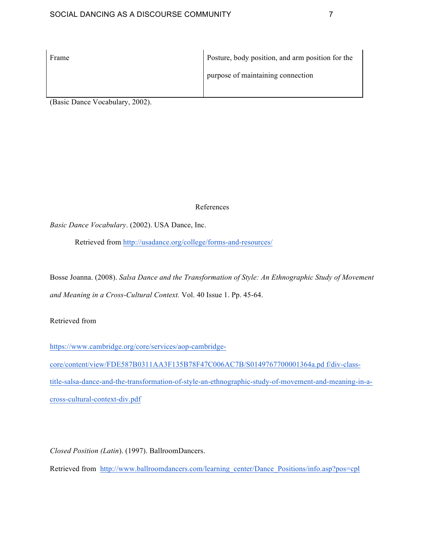| Frame | Posture, body position, and arm position for the |
|-------|--------------------------------------------------|
|       | purpose of maintaining connection                |
|       |                                                  |

(Basic Dance Vocabulary, 2002).

References

*Basic Dance Vocabulary*. (2002). USA Dance, Inc.

Retrieved from http://usadance.org/college/forms-and-resources/

Bosse Joanna. (2008). *Salsa Dance and the Transformation of Style: An Ethnographic Study of Movement and Meaning in a Cross-Cultural Context.* Vol. 40 Issue 1. Pp. 45-64.

Retrieved from

https://www.cambridge.org/core/services/aop-cambridge-

core/content/view/FDE587B0311AA3F135B78F47C006AC7B/S0149767700001364a.pd f/div-classtitle-salsa-dance-and-the-transformation-of-style-an-ethnographic-study-of-movement-and-meaning-in-across-cultural-context-div.pdf

*Closed Position (Latin*). (1997). BallroomDancers.

Retrieved from http://www.ballroomdancers.com/learning\_center/Dance\_Positions/info.asp?pos=cpl